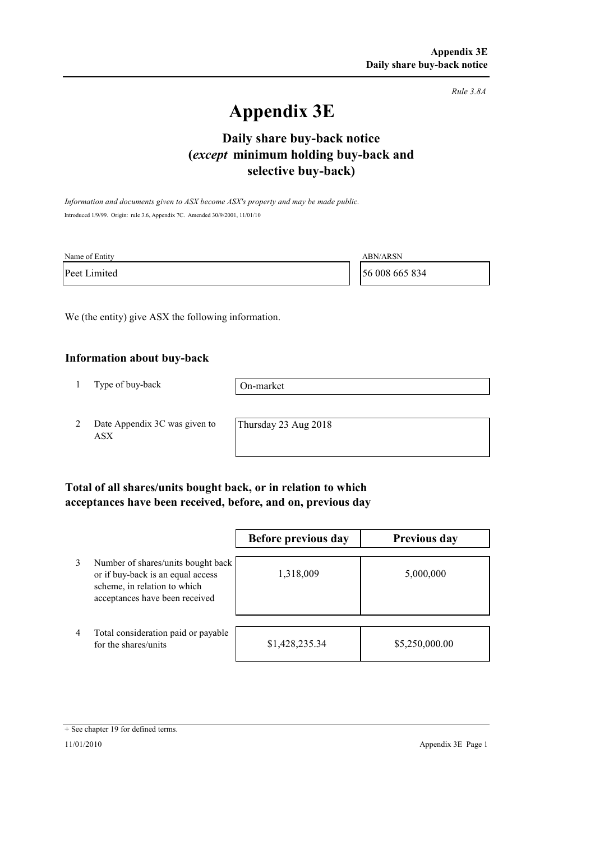*Rule 3.8A*

# **Appendix 3E**

## **selective buy-back) Daily share buy-back notice (***except* **minimum holding buy-back and**

*Information and documents given to ASX become ASX's property and may be made public.* Introduced 1/9/99. Origin: rule 3.6, Appendix 7C. Amended 30/9/2001, 11/01/10

| Name of Entity | <b>ABN/ARSN</b> |
|----------------|-----------------|
| Peet Limited   | 56 008 665 834  |

We (the entity) give ASX the following information.

#### **Information about buy-back**

1 Type of buy-back

On-market

2 Date Appendix 3C was given to ASX

Thursday 23 Aug 2018

### **Total of all shares/units bought back, or in relation to which acceptances have been received, before, and on, previous day**

|                |                                                                                                                                           | Before previous day | <b>Previous day</b> |
|----------------|-------------------------------------------------------------------------------------------------------------------------------------------|---------------------|---------------------|
| 3              | Number of shares/units bought back<br>or if buy-back is an equal access<br>scheme, in relation to which<br>acceptances have been received | 1,318,009           | 5,000,000           |
| $\overline{4}$ | Total consideration paid or payable<br>for the shares/units                                                                               | \$1,428,235.34      | \$5,250,000.00      |

<sup>+</sup> See chapter 19 for defined terms.